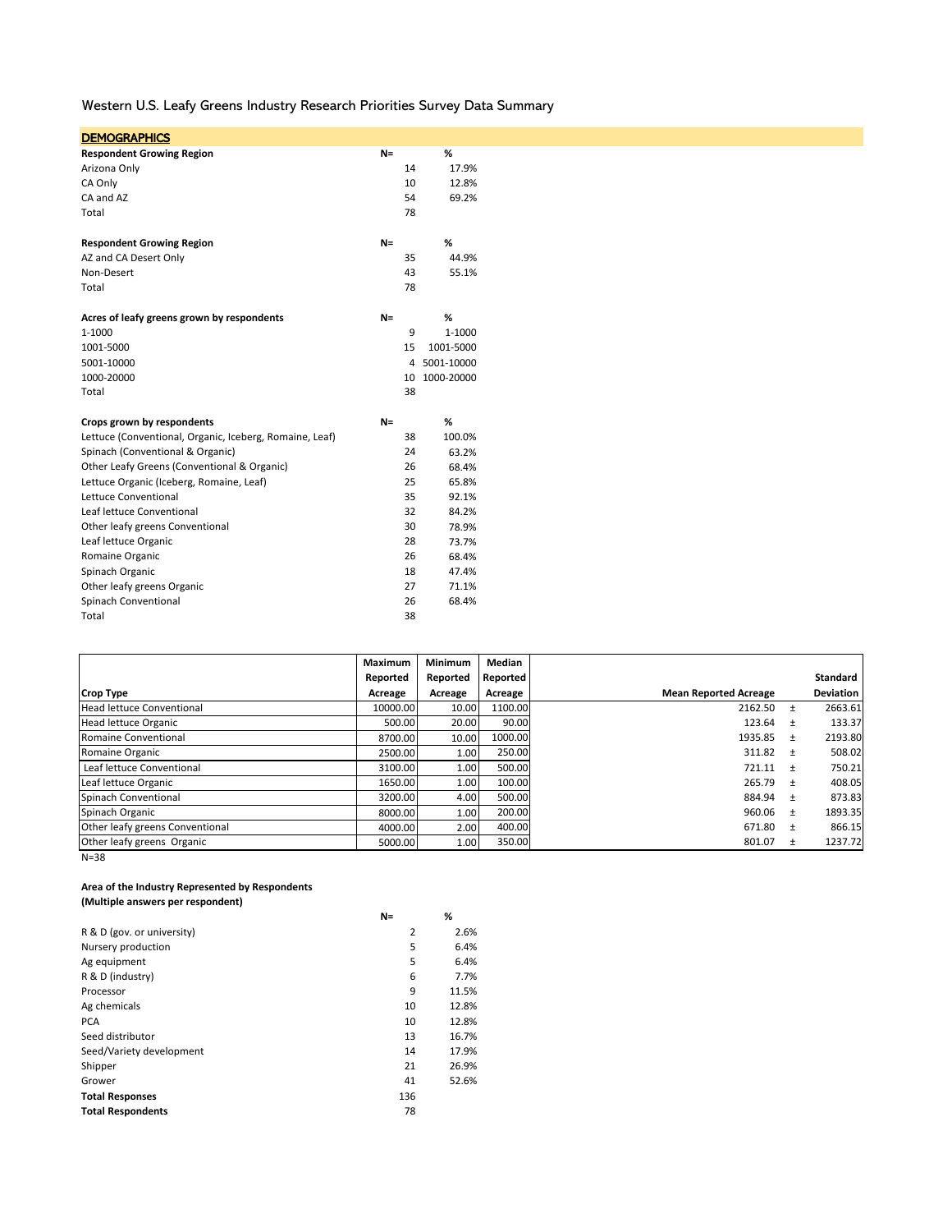Western U.S. Leafy Greens Industry Research Priorities Survey Data Summary

| <b>DEMOGRAPHICS</b>                                     |       |    |            |
|---------------------------------------------------------|-------|----|------------|
| <b>Respondent Growing Region</b>                        | $N =$ |    | %          |
| Arizona Only                                            |       | 14 | 17.9%      |
| CA Only                                                 |       | 10 | 12.8%      |
| CA and AZ                                               |       | 54 | 69.2%      |
| Total                                                   |       | 78 |            |
| <b>Respondent Growing Region</b>                        | $N =$ |    | %          |
| AZ and CA Desert Only                                   |       | 35 | 44.9%      |
| Non-Desert                                              |       | 43 | 55.1%      |
| Total                                                   |       | 78 |            |
| Acres of leafy greens grown by respondents              | $N =$ |    | ℅          |
| 1-1000                                                  |       | 9  | 1-1000     |
| 1001-5000                                               |       | 15 | 1001-5000  |
| 5001-10000                                              |       | 4  | 5001-10000 |
| 1000-20000                                              |       | 10 | 1000-20000 |
| Total                                                   |       | 38 |            |
| Crops grown by respondents                              | $N =$ |    | %          |
| Lettuce (Conventional, Organic, Iceberg, Romaine, Leaf) |       | 38 | 100.0%     |
| Spinach (Conventional & Organic)                        |       | 24 | 63.2%      |
| Other Leafy Greens (Conventional & Organic)             |       | 26 | 68.4%      |
| Lettuce Organic (Iceberg, Romaine, Leaf)                |       | 25 | 65.8%      |
| Lettuce Conventional                                    |       | 35 | 92.1%      |
| Leaf lettuce Conventional                               |       | 32 | 84.2%      |
| Other leafy greens Conventional                         |       | 30 | 78.9%      |
| Leaf lettuce Organic                                    |       | 28 | 73.7%      |
| Romaine Organic                                         |       | 26 | 68.4%      |
| Spinach Organic                                         |       | 18 | 47.4%      |
| Other leafy greens Organic                              |       | 27 | 71.1%      |
| Spinach Conventional                                    |       | 26 | 68.4%      |
| Total                                                   |       | 38 |            |

|                                  | Maximum  | <b>Minimum</b> | Median   |                              |       |                  |
|----------------------------------|----------|----------------|----------|------------------------------|-------|------------------|
|                                  | Reported | Reported       | Reported |                              |       | <b>Standard</b>  |
| <b>Crop Type</b>                 | Acreage  | Acreage        | Acreage  | <b>Mean Reported Acreage</b> |       | <b>Deviation</b> |
| <b>Head lettuce Conventional</b> | 10000.00 | 10.00          | 1100.00  | 2162.50                      | $\pm$ | 2663.61          |
| Head lettuce Organic             | 500.00   | 20.00          | 90.00    | 123.64                       | $+$   | 133.37           |
| Romaine Conventional             | 8700.00  | 10.00          | 1000.00  | 1935.85                      | $+$   | 2193.80          |
| Romaine Organic                  | 2500.00  | 1.00           | 250.00   | 311.82                       | $+$   | 508.02           |
| Leaf lettuce Conventional        | 3100.00  | 1.00           | 500.00   | $721.11 +$                   |       | 750.21           |
| Leaf lettuce Organic             | 1650.00  | 1.00           | 100.00   | 265.79                       | $+$   | 408.05           |
| Spinach Conventional             | 3200.00  | 4.00           | 500.00   | 884.94                       | $+$   | 873.83           |
| Spinach Organic                  | 8000.00  | 1.00           | 200.00   | 960.06                       | $\pm$ | 1893.35          |
| Other leafy greens Conventional  | 4000.00  | 2.00           | 400.00   | 671.80                       | $+$   | 866.15           |
| Other leafy greens Organic       | 5000.00  | 1.00           | 350.00   | 801.07                       | $\pm$ | 1237.72          |

N=38

### **Area of the Industry Represented by Respondents (Multiple answers per respondent)**

|                            | $N =$ | %     |
|----------------------------|-------|-------|
| R & D (gov. or university) | 2     | 2.6%  |
| Nursery production         | 5     | 6.4%  |
| Ag equipment               | 5     | 6.4%  |
| R & D (industry)           | 6     | 7.7%  |
| Processor                  | 9     | 11.5% |
| Ag chemicals               | 10    | 12.8% |
| <b>PCA</b>                 | 10    | 12.8% |
| Seed distributor           | 13    | 16.7% |
| Seed/Variety development   | 14    | 17.9% |
| Shipper                    | 21    | 26.9% |
| Grower                     | 41    | 52.6% |
| <b>Total Responses</b>     | 136   |       |
| <b>Total Respondents</b>   | 78    |       |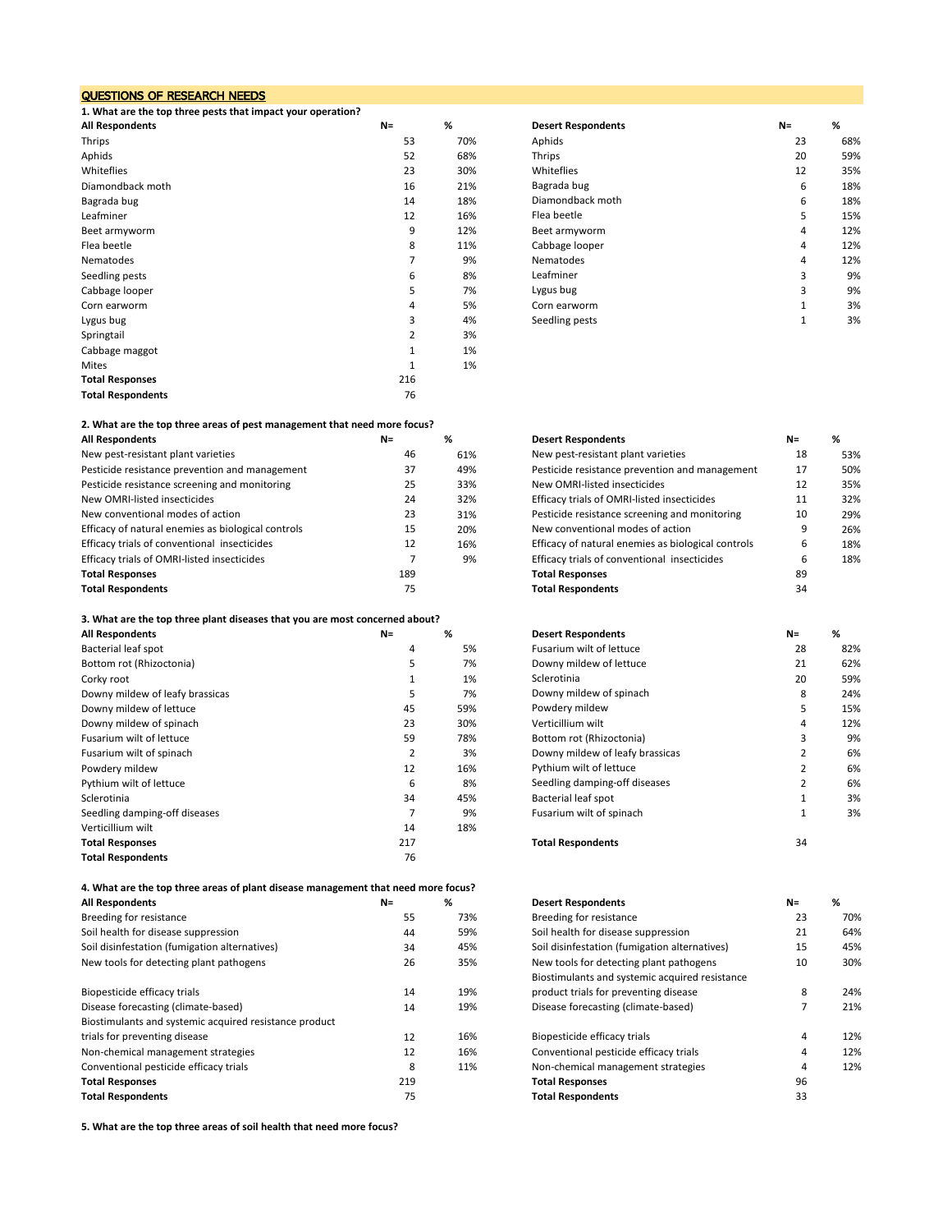### QUESTIONS OF RESEARCH NEEDS

**1. What are the top three pests that impact your operation?**

| <b>All Respondents</b>   | $N =$ | %   | <b>Desert Respondents</b> | $N =$ | %   |
|--------------------------|-------|-----|---------------------------|-------|-----|
| Thrips                   | 53    | 70% | Aphids                    | 23    | 68% |
| Aphids                   | 52    | 68% | Thrips                    | 20    | 59% |
| Whiteflies               | 23    | 30% | Whiteflies                | 12    | 35% |
| Diamondback moth         | 16    | 21% | Bagrada bug               | 6     | 18% |
| Bagrada bug              | 14    | 18% | Diamondback moth          | 6     | 18% |
| Leafminer                | 12    | 16% | Flea beetle               | 5     | 15% |
| Beet armyworm            | 9     | 12% | Beet armyworm             | 4     | 12% |
| Flea beetle              | 8     | 11% | Cabbage looper            | 4     | 12% |
| Nematodes                |       | 9%  | Nematodes                 | 4     | 12% |
| Seedling pests           | 6     | 8%  | Leafminer                 | 3     | 9%  |
| Cabbage looper           | 5     | 7%  | Lygus bug                 | 3     | 9%  |
| Corn earworm             | 4     | 5%  | Corn earworm              |       | 3%  |
| Lygus bug                | 3     | 4%  | Seedling pests            | 1     | 3%  |
| Springtail               | 2     | 3%  |                           |       |     |
| Cabbage maggot           |       | 1%  |                           |       |     |
| Mites                    |       | 1%  |                           |       |     |
| <b>Total Responses</b>   | 216   |     |                           |       |     |
| <b>Total Respondents</b> | 76    |     |                           |       |     |

## **2. What are the top three areas of pest management that need more focus?**

| <b>All Respondents</b>                             | $N =$ | %   | <b>Desert Respondents</b>                          | $N =$ | %   |
|----------------------------------------------------|-------|-----|----------------------------------------------------|-------|-----|
| New pest-resistant plant varieties                 | 46    | 61% | New pest-resistant plant varieties                 | 18    | 53% |
| Pesticide resistance prevention and management     | 37    | 49% | Pesticide resistance prevention and management     | 17    | 50% |
| Pesticide resistance screening and monitoring      | 25    | 33% | New OMRI-listed insecticides                       | 12    | 35% |
| New OMRI-listed insecticides                       | 24    | 32% | Efficacy trials of OMRI-listed insecticides        | 11    | 32% |
| New conventional modes of action                   | 23    | 31% | Pesticide resistance screening and monitoring      | 10    | 29% |
| Efficacy of natural enemies as biological controls | 15    | 20% | New conventional modes of action                   | 9     | 26% |
| Efficacy trials of conventional insecticides       | 12    | 16% | Efficacy of natural enemies as biological controls | 6     | 18% |
| Efficacy trials of OMRI-listed insecticides        |       | 9%  | Efficacy trials of conventional insecticides       | 6     | 18% |
| <b>Total Responses</b>                             | 189   |     | <b>Total Responses</b>                             | 89    |     |
| <b>Total Respondents</b>                           | 75    |     | <b>Total Respondents</b>                           | 34    |     |
|                                                    |       |     |                                                    |       |     |

#### **3. What are the top three plant diseases that you are most concerned about?**

| $N =$ | %   | <b>Desert Respondents</b>       | $N =$ | %   |
|-------|-----|---------------------------------|-------|-----|
| 4     | 5%  | Fusarium wilt of lettuce        | 28    | 82% |
| 5.    | 7%  | Downy mildew of lettuce         | 21    | 62% |
|       | 1%  | Sclerotinia                     | 20    | 59% |
|       | 7%  | Downy mildew of spinach         | 8     | 24% |
| 45    | 59% | Powdery mildew                  | 5     | 15% |
| 23    | 30% | Verticillium wilt               | 4     | 12% |
| 59    | 78% | Bottom rot (Rhizoctonia)        |       | 9%  |
|       | 3%  | Downy mildew of leafy brassicas |       | 6%  |
| 12    | 16% | Pythium wilt of lettuce         |       | 6%  |
| 6     | 8%  | Seedling damping-off diseases   |       | 6%  |
| 34    | 45% | Bacterial leaf spot             |       | 3%  |
|       | 9%  | Fusarium wilt of spinach        |       | 3%  |
| 14    | 18% |                                 |       |     |
| 217   |     | <b>Total Respondents</b>        | 34    |     |
| 76    |     |                                 |       |     |
|       |     |                                 |       |     |

# **4. What are the top three areas of plant disease management that need more focus?**

|     |     |                                                |                                 | 70    |
|-----|-----|------------------------------------------------|---------------------------------|-------|
| 55  | 73% | Breeding for resistance                        | 23                              | 70%   |
| 44  | 59% | Soil health for disease suppression            | 21                              | 64%   |
| 34  | 45% | Soil disinfestation (fumigation alternatives)  | 15                              | 45%   |
| 26  | 35% | New tools for detecting plant pathogens        | 10                              | 30%   |
|     |     | Biostimulants and systemic acquired resistance |                                 |       |
| 14  | 19% | product trials for preventing disease          | 8                               | 24%   |
| 14  | 19% | Disease forecasting (climate-based)            |                                 | 21%   |
|     |     |                                                |                                 |       |
| 12  | 16% | Biopesticide efficacy trials                   | 4                               | 12%   |
| 12  | 16% | Conventional pesticide efficacy trials         | 4                               | 12%   |
| 8   | 11% | Non-chemical management strategies             | 4                               | 12%   |
| 219 |     | <b>Total Responses</b>                         | 96                              |       |
| 75  |     | <b>Total Respondents</b>                       | 33                              |       |
|     | N=  |                                                | 70<br><b>Desert Respondents</b> | $N =$ |

**5. What are the top three areas of soil health that need more focus?**

| <b>Desert Respondents</b> | $N =$          | ℅   |
|---------------------------|----------------|-----|
| Aphids                    | 23             | 68% |
| Thrips                    | 20             | 59% |
| Whiteflies                | 12             | 35% |
| Bagrada bug               | 6              | 18% |
| Diamondback moth          | 6              | 18% |
| Flea beetle               | 5              | 15% |
| Beet armyworm             | 4              | 12% |
| Cabbage looper            | 4              | 12% |
| Nematodes                 | 4              | 12% |
| Leafminer                 | 3              | 9%  |
| Lygus bug                 | 3              | 9%  |
| Corn earworm              | 1              | 3%  |
| Seedling pests            | $\overline{1}$ | 3%  |
|                           |                |     |

| <b>Desert Respondents</b>                          | $N =$ | ℅   |
|----------------------------------------------------|-------|-----|
| New pest-resistant plant varieties                 | 18    | 53% |
| Pesticide resistance prevention and management     | 17    | 50% |
| New OMRI-listed insecticides                       | 12    | 35% |
| Efficacy trials of OMRI-listed insecticides        | 11    | 32% |
| Pesticide resistance screening and monitoring      | 10    | 29% |
| New conventional modes of action                   | 9     | 26% |
| Efficacy of natural enemies as biological controls | 6     | 18% |
| Efficacy trials of conventional insecticides       | 6     | 18% |
| <b>Total Responses</b>                             | 89    |     |
| <b>Total Respondents</b>                           | 34    |     |

| <b>Desert Respondents</b>       | $N =$          | ℅   |
|---------------------------------|----------------|-----|
| <b>Fusarium wilt of lettuce</b> | 28             | 82% |
| Downy mildew of lettuce         | 21             | 62% |
| Sclerotinia                     | 20             | 59% |
| Downy mildew of spinach         | 8              | 24% |
| Powdery mildew                  | 5              | 15% |
| Verticillium wilt               | 4              | 12% |
| Bottom rot (Rhizoctonia)        | 3              | 9%  |
| Downy mildew of leafy brassicas | $\overline{2}$ | 6%  |
| Pythium wilt of lettuce         | $\overline{2}$ | 6%  |
| Seedling damping-off diseases   | $\overline{2}$ | 6%  |
| Bacterial leaf spot             | 1              | 3%  |
| Fusarium wilt of spinach        | 1              | 3%  |
| <b>Total Respondents</b>        | 34             |     |

| All Respondents                                        | $N =$ | %   | <b>Desert Respondents</b>                      | $N =$ | %   |
|--------------------------------------------------------|-------|-----|------------------------------------------------|-------|-----|
| Breeding for resistance                                | 55    | 73% | Breeding for resistance                        | 23    | 70% |
| Soil health for disease suppression                    | 44    | 59% | Soil health for disease suppression            | 21    | 64% |
| Soil disinfestation (fumigation alternatives)          | 34    | 45% | Soil disinfestation (fumigation alternatives)  | 15    | 45% |
| New tools for detecting plant pathogens                | 26    | 35% | New tools for detecting plant pathogens        | 10    | 30% |
|                                                        |       |     | Biostimulants and systemic acquired resistance |       |     |
| Biopesticide efficacy trials                           | 14    | 19% | product trials for preventing disease          | 8     | 24% |
| Disease forecasting (climate-based)                    | 14    | 19% | Disease forecasting (climate-based)            |       | 21% |
| Biostimulants and systemic acquired resistance product |       |     |                                                |       |     |
| trials for preventing disease                          | 12    | 16% | Biopesticide efficacy trials                   | 4     | 12% |
| Non-chemical management strategies                     | 12    | 16% | Conventional pesticide efficacy trials         |       | 12% |
| Conventional pesticide efficacy trials                 | 8     | 11% | Non-chemical management strategies             | 4     | 12% |
| <b>Total Responses</b>                                 | 219   |     | <b>Total Responses</b>                         | 96    |     |
| <b>Total Respondents</b>                               | 75    |     | <b>Total Respondents</b>                       | 33    |     |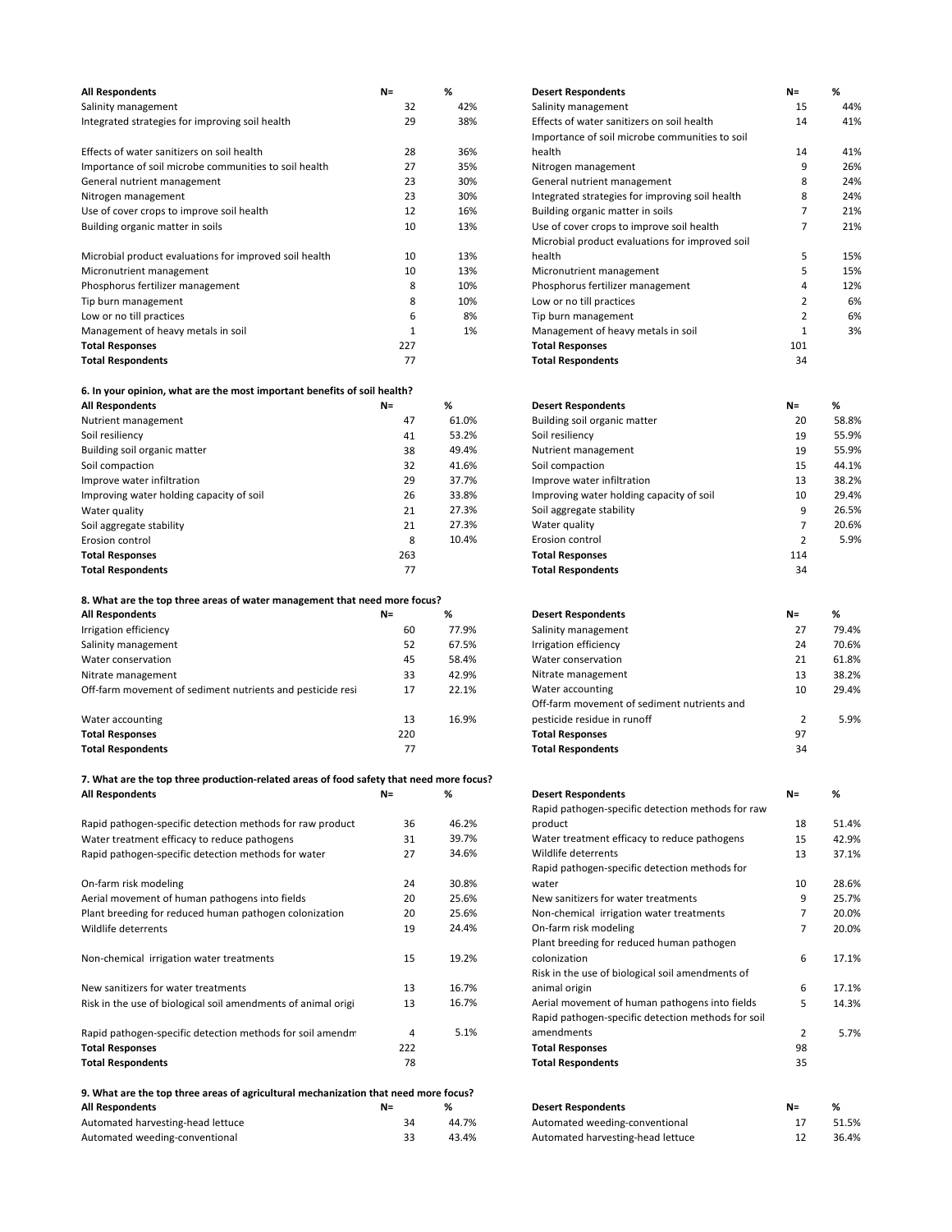| <b>All Respondents</b>                                 | $N =$ | %   | <b>Desert Respondents</b>                       | $N =$ | %   |
|--------------------------------------------------------|-------|-----|-------------------------------------------------|-------|-----|
| Salinity management                                    | 32    | 42% | Salinity management                             | 15    | 44% |
| Integrated strategies for improving soil health        | 29    | 38% | Effects of water sanitizers on soil health      | 14    | 41% |
|                                                        |       |     | Importance of soil microbe communities to soil  |       |     |
| Effects of water sanitizers on soil health             | 28    | 36% | health                                          | 14    | 41% |
| Importance of soil microbe communities to soil health  | 27    | 35% | Nitrogen management                             | 9     | 26% |
| General nutrient management                            | 23    | 30% | General nutrient management                     | 8     | 24% |
| Nitrogen management                                    | 23    | 30% | Integrated strategies for improving soil health | 8     | 24% |
| Use of cover crops to improve soil health              | 12    | 16% | Building organic matter in soils                |       | 21% |
| Building organic matter in soils                       | 10    | 13% | Use of cover crops to improve soil health       |       | 21% |
|                                                        |       |     | Microbial product evaluations for improved soil |       |     |
| Microbial product evaluations for improved soil health | 10    | 13% | health                                          | 5     | 15% |
| Micronutrient management                               | 10    | 13% | Micronutrient management                        | 5     | 15% |
| Phosphorus fertilizer management                       | 8     | 10% | Phosphorus fertilizer management                | 4     | 12% |
| Tip burn management                                    | 8     | 10% | Low or no till practices                        | 2     | 6%  |
| Low or no till practices                               | 6     | 8%  | Tip burn management                             | 2     | 6%  |
| Management of heavy metals in soil                     |       | 1%  | Management of heavy metals in soil              |       | 3%  |
| <b>Total Responses</b>                                 | 227   |     | <b>Total Responses</b>                          | 101   |     |
| <b>Total Respondents</b>                               | 77    |     | <b>Total Respondents</b>                        | 34    |     |

### **6. In your opinion, what are the most important benefits of soil health?**

|     |       |                                          | $N =$                     | ₩     |
|-----|-------|------------------------------------------|---------------------------|-------|
| 47  | 61.0% | Building soil organic matter             | 20                        | 58.8% |
| 41  | 53.2% | Soil resiliency                          | 19                        | 55.9% |
| 38  | 49.4% | Nutrient management                      | 19                        | 55.9% |
| 32  | 41.6% | Soil compaction                          | 15                        | 44.1% |
| 29  | 37.7% | Improve water infiltration               | 13                        | 38.2% |
| 26  | 33.8% | Improving water holding capacity of soil | 10                        | 29.4% |
| 21  | 27.3% | Soil aggregate stability                 |                           | 26.5% |
| 21  | 27.3% | Water quality                            |                           | 20.6% |
| 8   | 10.4% | Erosion control                          |                           | 5.9%  |
| 263 |       | <b>Total Responses</b>                   | 114                       |       |
| 77  |       | <b>Total Respondents</b>                 | 34                        |       |
|     | N=    | ℅                                        | <b>Desert Respondents</b> |       |

### **8. What are the top three areas of water management that need more focus?**

| <b>All Respondents</b>                                     | $N =$ | %     | <b>Desert Respondents</b>                   | $N =$ | %     |
|------------------------------------------------------------|-------|-------|---------------------------------------------|-------|-------|
| Irrigation efficiency                                      | 60    | 77.9% | Salinity management                         | 27    | 79.4% |
| Salinity management                                        | 52    | 67.5% | Irrigation efficiency                       | 24    | 70.6% |
| Water conservation                                         | 45    | 58.4% | Water conservation                          | 21    | 61.8% |
| Nitrate management                                         | 33    | 42.9% | Nitrate management                          | 13    | 38.2% |
| Off-farm movement of sediment nutrients and pesticide resi | 17    | 22.1% | Water accounting                            | 10    | 29.4% |
|                                                            |       |       | Off-farm movement of sediment nutrients and |       |       |
| Water accounting                                           | 13    | 16.9% | pesticide residue in runoff                 |       | 5.9%  |
| <b>Total Responses</b>                                     | 220   |       | <b>Total Responses</b>                      | 97    |       |
| <b>Total Respondents</b>                                   | 77    |       | <b>Total Respondents</b>                    | 34    |       |

### **7. What are the top three production-related areas of food safety that need more focus?**   $All$  Respondents

|                                                                                     |       |       | Rapid pathogen-specific detection methods for raw  |       |       |
|-------------------------------------------------------------------------------------|-------|-------|----------------------------------------------------|-------|-------|
| Rapid pathogen-specific detection methods for raw product                           | 36    | 46.2% | product                                            | 18    | 51.4% |
| Water treatment efficacy to reduce pathogens                                        | 31    | 39.7% | Water treatment efficacy to reduce pathogens       | 15    | 42.9% |
| Rapid pathogen-specific detection methods for water                                 | 27    | 34.6% | Wildlife deterrents                                | 13    | 37.1% |
|                                                                                     |       |       | Rapid pathogen-specific detection methods for      |       |       |
| On-farm risk modeling                                                               | 24    | 30.8% | water                                              | 10    | 28.6% |
| Aerial movement of human pathogens into fields                                      | 20    | 25.6% | New sanitizers for water treatments                | 9     | 25.7% |
| Plant breeding for reduced human pathogen colonization                              | 20    | 25.6% | Non-chemical irrigation water treatments           |       | 20.0% |
| Wildlife deterrents                                                                 | 19    | 24.4% | On-farm risk modeling                              | 7     | 20.0% |
|                                                                                     |       |       | Plant breeding for reduced human pathogen          |       |       |
| Non-chemical irrigation water treatments                                            | 15    | 19.2% | colonization                                       | 6     | 17.1% |
|                                                                                     |       |       | Risk in the use of biological soil amendments of   |       |       |
| New sanitizers for water treatments                                                 | 13    | 16.7% | animal origin                                      | 6     | 17.1% |
| Risk in the use of biological soil amendments of animal origi                       | 13    | 16.7% | Aerial movement of human pathogens into fields     | 5     | 14.3% |
|                                                                                     |       |       | Rapid pathogen-specific detection methods for soil |       |       |
| Rapid pathogen-specific detection methods for soil amendm                           | 4     | 5.1%  | amendments                                         | 2     | 5.7%  |
| <b>Total Responses</b>                                                              | 222   |       | <b>Total Responses</b>                             | 98    |       |
| <b>Total Respondents</b>                                                            | 78    |       | <b>Total Respondents</b>                           | 35    |       |
| 9. What are the top three areas of agricultural mechanization that need more focus? |       |       |                                                    |       |       |
| All Respondents                                                                     | $N =$ | %     | <b>Desert Respondents</b>                          | $N =$ | %     |
| Automated harvesting-head lettuce                                                   | 34    | 44.7% | Automated weeding-conventional                     | 17    | 51.5% |
| Automated weeding-conventional                                                      | 33    | 43.4% | Automated harvesting-head lettuce                  | 12    | 36.4% |

| <b>Desert Respondents</b>                       | $N =$          | ℅   |
|-------------------------------------------------|----------------|-----|
| Salinity management                             | 15             | 44% |
| Effects of water sanitizers on soil health      | 14             | 41% |
| Importance of soil microbe communities to soil  |                |     |
| health                                          | 14             | 41% |
| Nitrogen management                             | 9              | 26% |
| General nutrient management                     | 8              | 24% |
| Integrated strategies for improving soil health | 8              | 24% |
| Building organic matter in soils                | 7              | 21% |
| Use of cover crops to improve soil health       | 7              | 21% |
| Microbial product evaluations for improved soil |                |     |
| health                                          | 5              | 15% |
| Micronutrient management                        | 5              | 15% |
| Phosphorus fertilizer management                | 4              | 12% |
| Low or no till practices                        | $\mathfrak{p}$ | 6%  |
| Tip burn management                             | $\mathfrak{p}$ | 6%  |
| Management of heavy metals in soil              | 1              | 3%  |
| <b>Total Responses</b>                          | 101            |     |
| <b>Total Respondents</b>                        | 34             |     |

| All Respondents                          | $N =$ | %     | <b>Desert Respondents</b>                | $N =$ | %     |
|------------------------------------------|-------|-------|------------------------------------------|-------|-------|
| Nutrient management                      | 47    | 61.0% | Building soil organic matter             | 20    | 58.8% |
| Soil resiliency                          | 41    | 53.2% | Soil resiliency                          | 19    | 55.9% |
| Building soil organic matter             | 38    | 49.4% | Nutrient management                      | 19    | 55.9% |
| Soil compaction                          | 32    | 41.6% | Soil compaction                          | 15    | 44.1% |
| Improve water infiltration               | 29    | 37.7% | Improve water infiltration               | 13    | 38.2% |
| Improving water holding capacity of soil | 26    | 33.8% | Improving water holding capacity of soil | 10    | 29.4% |
| Water quality                            | 21    | 27.3% | Soil aggregate stability                 |       | 26.5% |
| Soil aggregate stability                 | 21    | 27.3% | Water quality                            |       | 20.6% |
| Erosion control                          | 8     | 10.4% | Erosion control                          |       | 5.9%  |
| <b>Total Responses</b>                   | 263   |       | <b>Total Responses</b>                   | 114   |       |
| <b>Total Respondents</b>                 | 77    |       | <b>Total Respondents</b>                 | 34    |       |
|                                          |       |       |                                          |       |       |

| <b>Desert Respondents</b>                   | $N =$         | %     |
|---------------------------------------------|---------------|-------|
| Salinity management                         | 27            | 79.4% |
| Irrigation efficiency                       | 24            | 70.6% |
| Water conservation                          | 21            | 61.8% |
| Nitrate management                          | 13            | 38.2% |
| Water accounting                            | 10            | 29.4% |
| Off-farm movement of sediment nutrients and |               |       |
| pesticide residue in runoff                 | $\mathcal{P}$ | 5.9%  |
| <b>Total Responses</b>                      | 97            |       |
| <b>Total Respondents</b>                    | 34            |       |

| <b>Desert Respondents</b>                          | $N =$          | ℅     |
|----------------------------------------------------|----------------|-------|
| Rapid pathogen-specific detection methods for raw  |                |       |
| product                                            | 18             | 51.4% |
| Water treatment efficacy to reduce pathogens       | 15             | 42.9% |
| Wildlife deterrents                                | 13             | 37.1% |
| Rapid pathogen-specific detection methods for      |                |       |
| water                                              | 10             | 28.6% |
| New sanitizers for water treatments                | 9              | 25.7% |
| Non-chemical irrigation water treatments           | 7              | 20.0% |
| On-farm risk modeling                              | 7              | 20.0% |
| Plant breeding for reduced human pathogen          |                |       |
| colonization                                       | 6              | 17.1% |
| Risk in the use of biological soil amendments of   |                |       |
| animal origin                                      | 6              | 17.1% |
| Aerial movement of human pathogens into fields     | 5              | 14.3% |
| Rapid pathogen-specific detection methods for soil |                |       |
| amendments                                         | $\overline{2}$ | 5.7%  |
| <b>Total Responses</b>                             | 98             |       |
| <b>Total Respondents</b>                           | 35             |       |
|                                                    |                |       |

| <b>Desert Respondents</b>         | $N =$ | %     |
|-----------------------------------|-------|-------|
| Automated weeding-conventional    | 17    | 51.5% |
| Automated harvesting-head lettuce | 12    | 36.4% |